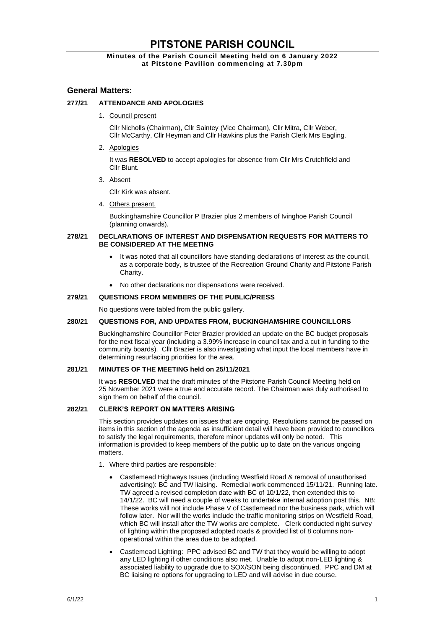# **PITSTONE PARISH COUNCIL**

# **Minutes of the Parish Council Meeting held on 6 January 2022 at Pitstone Pavilion commencing at 7.30pm**

# **General Matters:**

# **277/21 ATTENDANCE AND APOLOGIES**

1. Council present

Cllr Nicholls (Chairman), Cllr Saintey (Vice Chairman), Cllr Mitra, Cllr Weber, Cllr McCarthy, Cllr Heyman and Cllr Hawkins plus the Parish Clerk Mrs Eagling.

2. Apologies

It was **RESOLVED** to accept apologies for absence from Cllr Mrs Crutchfield and Cllr Blunt.

3. Absent

Cllr Kirk was absent.

4. Others present.

Buckinghamshire Councillor P Brazier plus 2 members of Ivinghoe Parish Council (planning onwards).

#### **278/21 DECLARATIONS OF INTEREST AND DISPENSATION REQUESTS FOR MATTERS TO BE CONSIDERED AT THE MEETING**

- It was noted that all councillors have standing declarations of interest as the council, as a corporate body, is trustee of the Recreation Ground Charity and Pitstone Parish Charity.
- No other declarations nor dispensations were received.

#### **279/21 QUESTIONS FROM MEMBERS OF THE PUBLIC/PRESS**

No questions were tabled from the public gallery.

#### **280/21 QUESTIONS FOR, AND UPDATES FROM, BUCKINGHAMSHIRE COUNCILLORS**

Buckinghamshire Councillor Peter Brazier provided an update on the BC budget proposals for the next fiscal year (including a 3.99% increase in council tax and a cut in funding to the community boards). Cllr Brazier is also investigating what input the local members have in determining resurfacing priorities for the area.

#### **281/21 MINUTES OF THE MEETING held on 25/11/2021**

It was **RESOLVED** that the draft minutes of the Pitstone Parish Council Meeting held on 25 November 2021 were a true and accurate record. The Chairman was duly authorised to sign them on behalf of the council.

#### **282/21 CLERK'S REPORT ON MATTERS ARISING**

This section provides updates on issues that are ongoing. Resolutions cannot be passed on items in this section of the agenda as insufficient detail will have been provided to councillors to satisfy the legal requirements, therefore minor updates will only be noted. This information is provided to keep members of the public up to date on the various ongoing matters.

- 1. Where third parties are responsible:
	- Castlemead Highways Issues (including Westfield Road & removal of unauthorised advertising): BC and TW liaising. Remedial work commenced 15/11/21. Running late. TW agreed a revised completion date with BC of 10/1/22, then extended this to 14/1/22. BC will need a couple of weeks to undertake internal adoption post this. NB: These works will not include Phase V of Castlemead nor the business park, which will follow later. Nor will the works include the traffic monitoring strips on Westfield Road, which BC will install after the TW works are complete. Clerk conducted night survey of lighting within the proposed adopted roads & provided list of 8 columns nonoperational within the area due to be adopted.
	- Castlemead Lighting: PPC advised BC and TW that they would be willing to adopt any LED lighting if other conditions also met. Unable to adopt non-LED lighting & associated liability to upgrade due to SOX/SON being discontinued. PPC and DM at BC liaising re options for upgrading to LED and will advise in due course.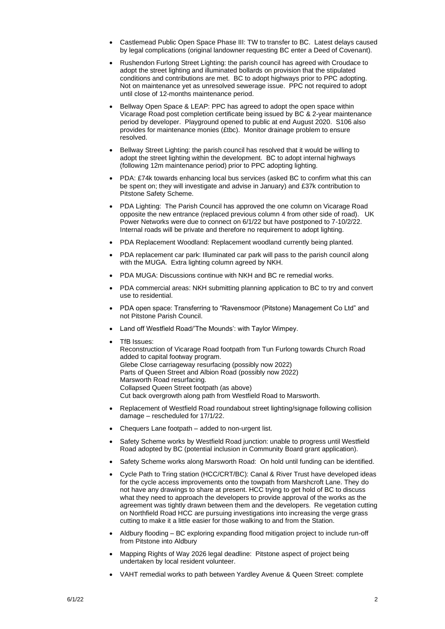- Castlemead Public Open Space Phase III: TW to transfer to BC. Latest delays caused by legal complications (original landowner requesting BC enter a Deed of Covenant).
- Rushendon Furlong Street Lighting: the parish council has agreed with Croudace to adopt the street lighting and illuminated bollards on provision that the stipulated conditions and contributions are met. BC to adopt highways prior to PPC adopting. Not on maintenance yet as unresolved sewerage issue. PPC not required to adopt until close of 12-months maintenance period.
- Bellway Open Space & LEAP: PPC has agreed to adopt the open space within Vicarage Road post completion certificate being issued by BC & 2-year maintenance period by developer. Playground opened to public at end August 2020. S106 also provides for maintenance monies (£tbc). Monitor drainage problem to ensure resolved.
- Bellway Street Lighting: the parish council has resolved that it would be willing to adopt the street lighting within the development. BC to adopt internal highways (following 12m maintenance period) prior to PPC adopting lighting.
- PDA: £74k towards enhancing local bus services (asked BC to confirm what this can be spent on; they will investigate and advise in January) and £37k contribution to Pitstone Safety Scheme.
- PDA Lighting: The Parish Council has approved the one column on Vicarage Road opposite the new entrance (replaced previous column 4 from other side of road). UK Power Networks were due to connect on 6/1/22 but have postponed to 7-10/2/22. Internal roads will be private and therefore no requirement to adopt lighting.
- PDA Replacement Woodland: Replacement woodland currently being planted.
- PDA replacement car park: Illuminated car park will pass to the parish council along with the MUGA. Extra lighting column agreed by NKH.
- PDA MUGA: Discussions continue with NKH and BC re remedial works.
- PDA commercial areas: NKH submitting planning application to BC to try and convert use to residential.
- PDA open space: Transferring to "Ravensmoor (Pitstone) Management Co Ltd" and not Pitstone Parish Council.
- Land off Westfield Road/'The Mounds': with Taylor Wimpey.
- TfB Issues:

Reconstruction of Vicarage Road footpath from Tun Furlong towards Church Road added to capital footway program. Glebe Close carriageway resurfacing (possibly now 2022) Parts of Queen Street and Albion Road (possibly now 2022) Marsworth Road resurfacing. Collapsed Queen Street footpath (as above) Cut back overgrowth along path from Westfield Road to Marsworth.

- Replacement of Westfield Road roundabout street lighting/signage following collision damage – rescheduled for 17/1/22.
- Chequers Lane footpath added to non-urgent list.
- Safety Scheme works by Westfield Road junction: unable to progress until Westfield Road adopted by BC (potential inclusion in Community Board grant application).
- Safety Scheme works along Marsworth Road: On hold until funding can be identified.
- Cycle Path to Tring station (HCC/CRT/BC): Canal & River Trust have developed ideas for the cycle access improvements onto the towpath from Marshcroft Lane. They do not have any drawings to share at present. HCC trying to get hold of BC to discuss what they need to approach the developers to provide approval of the works as the agreement was tightly drawn between them and the developers. Re vegetation cutting on Northfield Road HCC are pursuing investigations into increasing the verge grass cutting to make it a little easier for those walking to and from the Station.
- Aldbury flooding BC exploring expanding flood mitigation project to include run-off from Pitstone into Aldbury
- Mapping Rights of Way 2026 legal deadline: Pitstone aspect of project being undertaken by local resident volunteer.
- VAHT remedial works to path between Yardley Avenue & Queen Street: complete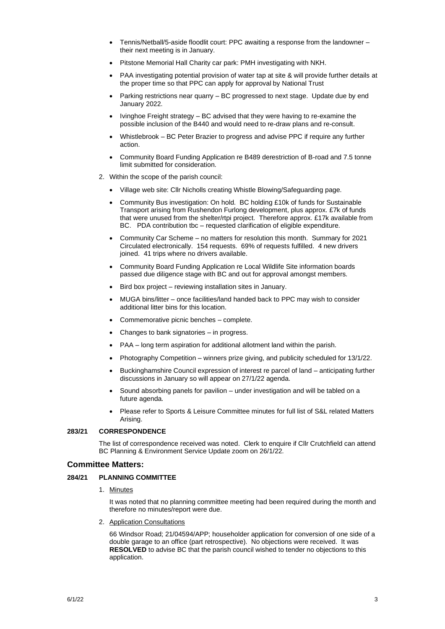- Tennis/Netball/5-aside floodlit court: PPC awaiting a response from the landowner their next meeting is in January.
- Pitstone Memorial Hall Charity car park: PMH investigating with NKH.
- PAA investigating potential provision of water tap at site & will provide further details at the proper time so that PPC can apply for approval by National Trust
- Parking restrictions near quarry BC progressed to next stage. Update due by end January 2022.
- Ivinghoe Freight strategy BC advised that they were having to re-examine the possible inclusion of the B440 and would need to re-draw plans and re-consult.
- Whistlebrook BC Peter Brazier to progress and advise PPC if require any further action.
- Community Board Funding Application re B489 derestriction of B-road and 7.5 tonne limit submitted for consideration.
- 2. Within the scope of the parish council:
	- Village web site: Cllr Nicholls creating Whistle Blowing/Safeguarding page.
	- Community Bus investigation: On hold. BC holding £10k of funds for Sustainable Transport arising from Rushendon Furlong development, plus approx. £7k of funds that were unused from the shelter/rtpi project. Therefore approx. £17k available from BC. PDA contribution tbc – requested clarification of eligible expenditure.
	- Community Car Scheme no matters for resolution this month. Summary for 2021 Circulated electronically. 154 requests. 69% of requests fulfilled. 4 new drivers joined. 41 trips where no drivers available.
	- Community Board Funding Application re Local Wildlife Site information boards passed due diligence stage with BC and out for approval amongst members.
	- Bird box project reviewing installation sites in January.
	- MUGA bins/litter once facilities/land handed back to PPC may wish to consider additional litter bins for this location.
	- Commemorative picnic benches complete.
	- Changes to bank signatories in progress.
	- PAA long term aspiration for additional allotment land within the parish.
	- Photography Competition winners prize giving, and publicity scheduled for 13/1/22.
	- Buckinghamshire Council expression of interest re parcel of land anticipating further discussions in January so will appear on 27/1/22 agenda.
	- Sound absorbing panels for pavilion under investigation and will be tabled on a future agenda.
	- Please refer to Sports & Leisure Committee minutes for full list of S&L related Matters Arising.

#### **283/21 CORRESPONDENCE**

The list of correspondence received was noted. Clerk to enquire if Cllr Crutchfield can attend BC Planning & Environment Service Update zoom on 26/1/22.

#### **Committee Matters:**

#### **284/21 PLANNING COMMITTEE**

1. Minutes

It was noted that no planning committee meeting had been required during the month and therefore no minutes/report were due.

2. Application Consultations

66 Windsor Road; 21/04594/APP; householder application for conversion of one side of a double garage to an office (part retrospective). No objections were received. It was **RESOLVED** to advise BC that the parish council wished to tender no objections to this application.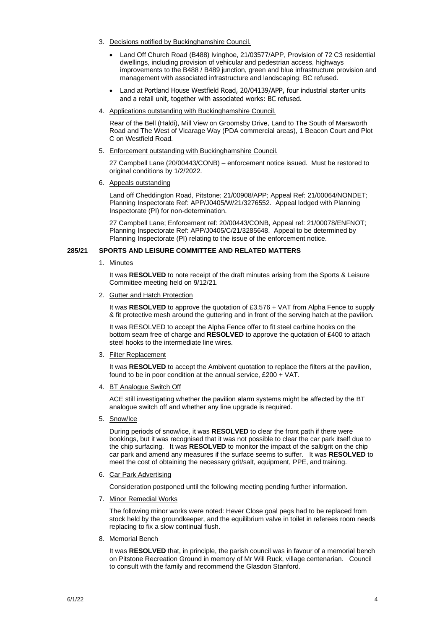- 3. Decisions notified by Buckinghamshire Council.
	- Land Off Church Road (B488) Ivinghoe, 21/03577/APP, Provision of 72 C3 residential dwellings, including provision of vehicular and pedestrian access, highways improvements to the B488 / B489 junction, green and blue infrastructure provision and management with associated infrastructure and landscaping: BC refused.
	- Land at Portland House Westfield Road, 20/04139/APP, four industrial starter units and a retail unit, together with associated works: BC refused.
- 4. Applications outstanding with Buckinghamshire Council.

Rear of the Bell (Haldi), Mill View on Groomsby Drive, Land to The South of Marsworth Road and The West of Vicarage Way (PDA commercial areas), 1 Beacon Court and Plot C on Westfield Road.

5. Enforcement outstanding with Buckinghamshire Council.

27 Campbell Lane (20/00443/CONB) – enforcement notice issued. Must be restored to original conditions by 1/2/2022.

6. Appeals outstanding

Land off Cheddington Road, Pitstone; 21/00908/APP; Appeal Ref: 21/00064/NONDET; Planning Inspectorate Ref: APP/J0405/W/21/3276552. Appeal lodged with Planning Inspectorate (PI) for non-determination.

27 Campbell Lane; Enforcement ref: 20/00443/CONB, Appeal ref: 21/00078/ENFNOT; Planning Inspectorate Ref: APP/J0405/C/21/3285648. Appeal to be determined by Planning Inspectorate (PI) relating to the issue of the enforcement notice.

#### **285/21 SPORTS AND LEISURE COMMITTEE AND RELATED MATTERS**

1. Minutes

It was **RESOLVED** to note receipt of the draft minutes arising from the Sports & Leisure Committee meeting held on 9/12/21.

2. Gutter and Hatch Protection

It was **RESOLVED** to approve the quotation of £3,576 + VAT from Alpha Fence to supply & fit protective mesh around the guttering and in front of the serving hatch at the pavilion.

It was RESOLVED to accept the Alpha Fence offer to fit steel carbine hooks on the bottom seam free of charge and **RESOLVED** to approve the quotation of £400 to attach steel hooks to the intermediate line wires.

3. Filter Replacement

It was **RESOLVED** to accept the Ambivent quotation to replace the filters at the pavilion, found to be in poor condition at the annual service, £200 + VAT.

4. BT Analogue Switch Off

ACE still investigating whether the pavilion alarm systems might be affected by the BT analogue switch off and whether any line upgrade is required.

5. Snow/Ice

During periods of snow/ice, it was **RESOLVED** to clear the front path if there were bookings, but it was recognised that it was not possible to clear the car park itself due to the chip surfacing. It was **RESOLVED** to monitor the impact of the salt/grit on the chip car park and amend any measures if the surface seems to suffer. It was **RESOLVED** to meet the cost of obtaining the necessary grit/salt, equipment, PPE, and training.

6. Car Park Advertising

Consideration postponed until the following meeting pending further information.

7. Minor Remedial Works

The following minor works were noted: Hever Close goal pegs had to be replaced from stock held by the groundkeeper, and the equilibrium valve in toilet in referees room needs replacing to fix a slow continual flush.

8. Memorial Bench

It was RESOLVED that, in principle, the parish council was in favour of a memorial bench on Pitstone Recreation Ground in memory of Mr Will Ruck, village centenarian. Council to consult with the family and recommend the Glasdon Stanford.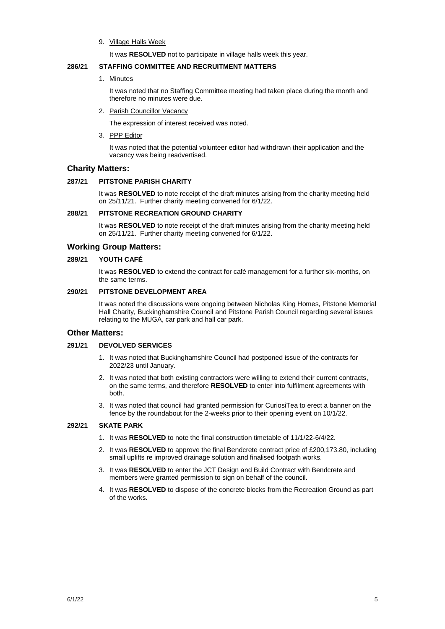#### 9. Village Halls Week

It was **RESOLVED** not to participate in village halls week this year.

#### **286/21 STAFFING COMMITTEE AND RECRUITMENT MATTERS**

#### 1. Minutes

It was noted that no Staffing Committee meeting had taken place during the month and therefore no minutes were due.

2. Parish Councillor Vacancy

The expression of interest received was noted.

3. PPP Editor

It was noted that the potential volunteer editor had withdrawn their application and the vacancy was being readvertised.

# **Charity Matters:**

#### **287/21 PITSTONE PARISH CHARITY**

It was **RESOLVED** to note receipt of the draft minutes arising from the charity meeting held on 25/11/21. Further charity meeting convened for 6/1/22.

#### **288/21 PITSTONE RECREATION GROUND CHARITY**

It was **RESOLVED** to note receipt of the draft minutes arising from the charity meeting held on 25/11/21. Further charity meeting convened for 6/1/22.

### **Working Group Matters:**

#### **289/21 YOUTH CAFÉ**

It was **RESOLVED** to extend the contract for café management for a further six-months, on the same terms.

# **290/21 PITSTONE DEVELOPMENT AREA**

It was noted the discussions were ongoing between Nicholas King Homes, Pitstone Memorial Hall Charity, Buckinghamshire Council and Pitstone Parish Council regarding several issues relating to the MUGA, car park and hall car park.

#### **Other Matters:**

#### **291/21 DEVOLVED SERVICES**

- 1. It was noted that Buckinghamshire Council had postponed issue of the contracts for 2022/23 until January.
- 2. It was noted that both existing contractors were willing to extend their current contracts, on the same terms, and therefore **RESOLVED** to enter into fulfilment agreements with both.
- 3. It was noted that council had granted permission for CuriosiTea to erect a banner on the fence by the roundabout for the 2-weeks prior to their opening event on 10/1/22.

### **292/21 SKATE PARK**

- 1. It was **RESOLVED** to note the final construction timetable of 11/1/22-6/4/22.
- 2. It was **RESOLVED** to approve the final Bendcrete contract price of £200,173.80, including small uplifts re improved drainage solution and finalised footpath works.
- 3. It was **RESOLVED** to enter the JCT Design and Build Contract with Bendcrete and members were granted permission to sign on behalf of the council.
- 4. It was **RESOLVED** to dispose of the concrete blocks from the Recreation Ground as part of the works.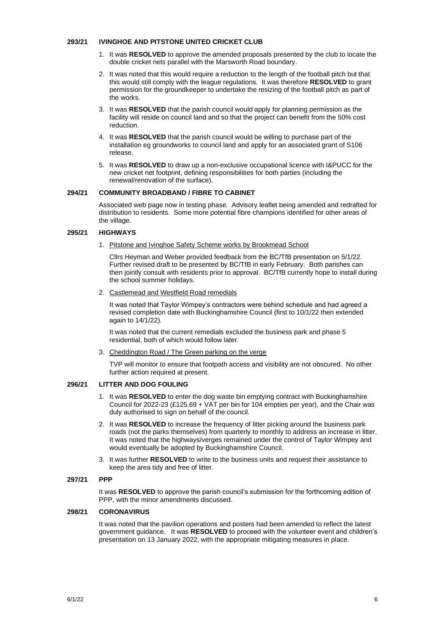#### **293/21 IVINGHOE AND PITSTONE UNITED CRICKET CLUB**

- 1. It was **RESOLVED** to approve the amended proposals presented by the club to locate the double cricket nets parallel with the Marsworth Road boundary.
- 2. It was noted that this would require a reduction to the length of the football pitch but that this would still comply with the league regulations. It was therefore **RESOLVED** to grant permission for the groundkeeper to undertake the resizing of the football pitch as part of the works.
- 3. It was **RESOLVED** that the parish council would apply for planning permission as the facility will reside on council land and so that the project can benefit from the 50% cost reduction.
- 4. It was **RESOLVED** that the parish council would be willing to purchase part of the installation eg groundworks to council land and apply for an associated grant of S106 release.
- 5. It was **RESOLVED** to draw up a non-exclusive occupational licence with I&PUCC for the new cricket net footprint, defining responsibilities for both parties (including the renewal/renovation of the surface).

#### **294/21 COMMUNITY BROADBAND / FIBRE TO CABINET**

Associated web page now in testing phase. Advisory leaflet being amended and redrafted for distribution to residents. Some more potential fibre champions identified for other areas of the village.

#### **295/21 HIGHWAYS**

1. Pitstone and Ivinghoe Safety Scheme works by Brookmead School

Cllrs Heyman and Weber provided feedback from the BC/TfB presentation on 5/1/22. Further revised draft to be presented by BC/TfB in early February. Both parishes can then jointly consult with residents prior to approval. BC/TfB currently hope to install during the school summer holidays.

2. Castlemead and Westfield Road remedials

It was noted that Taylor Wimpey's contractors were behind schedule and had agreed a revised completion date with Buckinghamshire Council (first to 10/1/22 then extended again to 14/1/22).

It was noted that the current remedials excluded the business park and phase 5 residential, both of which would follow later.

3. Cheddington Road / The Green parking on the verge

TVP will monitor to ensure that footpath access and visibility are not obscured. No other further action required at present.

#### **296/21 LITTER AND DOG FOULING**

- 1. It was **RESOLVED** to enter the dog waste bin emptying contract with Buckinghamshire Council for 2022-23 (£125.69 + VAT per bin for 104 empties per year), and the Chair was duly authorised to sign on behalf of the council.
- 2. It was **RESOLVED** to increase the frequency of litter picking around the business park roads (not the parks themselves) from quarterly to monthly to address an increase in litter. It was noted that the highways/verges remained under the control of Taylor Wimpey and would eventually be adopted by Buckinghamshire Council.
- 3. It was further **RESOLVED** to write to the business units and request their assistance to keep the area tidy and free of litter.

#### **297/21 PPP**

It was **RESOLVED** to approve the parish council's submission for the forthcoming edition of PPP, with the minor amendments discussed.

#### **298/21 CORONAVIRUS**

It was noted that the pavilion operations and posters had been amended to reflect the latest government guidance. It was **RESOLVED** to proceed with the volunteer event and children's presentation on 13 January 2022, with the appropriate mitigating measures in place.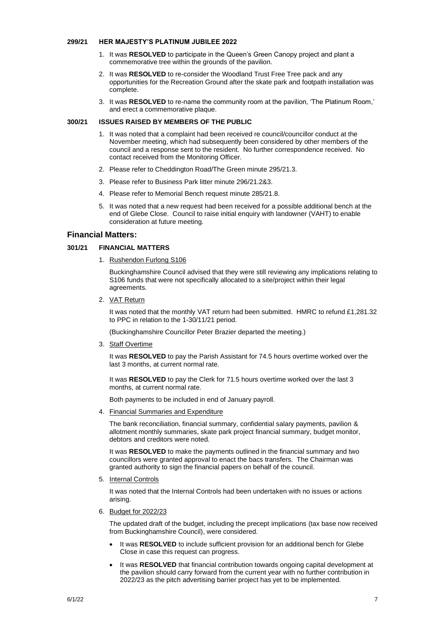#### **299/21 HER MAJESTY'S PLATINUM JUBILEE 2022**

- 1. It was **RESOLVED** to participate in the Queen's Green Canopy project and plant a commemorative tree within the grounds of the pavilion.
- 2. It was **RESOLVED** to re-consider the Woodland Trust Free Tree pack and any opportunities for the Recreation Ground after the skate park and footpath installation was complete.
- 3. It was **RESOLVED** to re-name the community room at the pavilion, 'The Platinum Room,' and erect a commemorative plaque.

#### **300/21 ISSUES RAISED BY MEMBERS OF THE PUBLIC**

- 1. It was noted that a complaint had been received re council/councillor conduct at the November meeting, which had subsequently been considered by other members of the council and a response sent to the resident. No further correspondence received. No contact received from the Monitoring Officer.
- 2. Please refer to Cheddington Road/The Green minute 295/21.3.
- 3. Please refer to Business Park litter minute 296/21.2&3.
- 4. Please refer to Memorial Bench request minute 285/21.8.
- 5. It was noted that a new request had been received for a possible additional bench at the end of Glebe Close. Council to raise initial enquiry with landowner (VAHT) to enable consideration at future meeting.

#### **Financial Matters:**

#### **301/21 FINANCIAL MATTERS**

1. Rushendon Furlong S106

Buckinghamshire Council advised that they were still reviewing any implications relating to S106 funds that were not specifically allocated to a site/project within their legal agreements.

2. VAT Return

It was noted that the monthly VAT return had been submitted. HMRC to refund £1,281.32 to PPC in relation to the 1-30/11/21 period.

(Buckinghamshire Councillor Peter Brazier departed the meeting.)

3. Staff Overtime

It was **RESOLVED** to pay the Parish Assistant for 74.5 hours overtime worked over the last 3 months, at current normal rate.

It was **RESOLVED** to pay the Clerk for 71.5 hours overtime worked over the last 3 months, at current normal rate.

Both payments to be included in end of January payroll.

4. Financial Summaries and Expenditure

The bank reconciliation, financial summary, confidential salary payments, pavilion & allotment monthly summaries, skate park project financial summary, budget monitor, debtors and creditors were noted.

It was **RESOLVED** to make the payments outlined in the financial summary and two councillors were granted approval to enact the bacs transfers. The Chairman was granted authority to sign the financial papers on behalf of the council.

5. Internal Controls

It was noted that the Internal Controls had been undertaken with no issues or actions arising.

6. Budget for 2022/23

The updated draft of the budget, including the precept implications (tax base now received from Buckinghamshire Council), were considered.

- It was **RESOLVED** to include sufficient provision for an additional bench for Glebe Close in case this request can progress.
- It was **RESOLVED** that financial contribution towards ongoing capital development at the pavilion should carry forward from the current year with no further contribution in 2022/23 as the pitch advertising barrier project has yet to be implemented.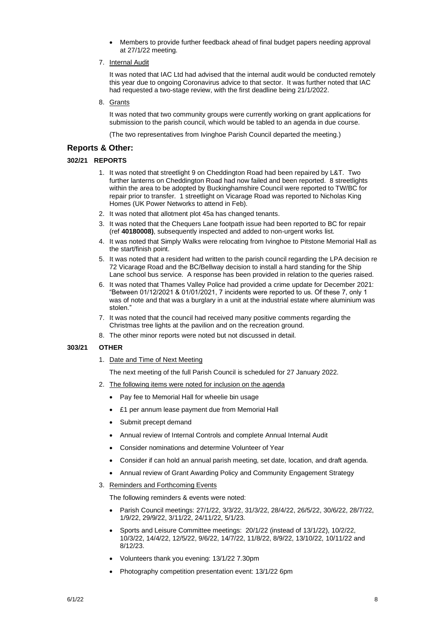• Members to provide further feedback ahead of final budget papers needing approval at 27/1/22 meeting.

### 7. Internal Audit

It was noted that IAC Ltd had advised that the internal audit would be conducted remotely this year due to ongoing Coronavirus advice to that sector. It was further noted that IAC had requested a two-stage review, with the first deadline being 21/1/2022.

8. Grants

It was noted that two community groups were currently working on grant applications for submission to the parish council, which would be tabled to an agenda in due course.

(The two representatives from Ivinghoe Parish Council departed the meeting.)

# **Reports & Other:**

# **302/21 REPORTS**

- 1. It was noted that streetlight 9 on Cheddington Road had been repaired by L&T. Two further lanterns on Cheddington Road had now failed and been reported. 8 streetlights within the area to be adopted by Buckinghamshire Council were reported to TW/BC for repair prior to transfer. 1 streetlight on Vicarage Road was reported to Nicholas King Homes (UK Power Networks to attend in Feb).
- 2. It was noted that allotment plot 45a has changed tenants.
- 3. It was noted that the Chequers Lane footpath issue had been reported to BC for repair (ref **40180008)**, subsequently inspected and added to non-urgent works list.
- 4. It was noted that Simply Walks were relocating from Ivinghoe to Pitstone Memorial Hall as the start/finish point.
- 5. It was noted that a resident had written to the parish council regarding the LPA decision re 72 Vicarage Road and the BC/Bellway decision to install a hard standing for the Ship Lane school bus service. A response has been provided in relation to the queries raised.
- 6. It was noted that Thames Valley Police had provided a crime update for December 2021: "Between 01/12/2021 & 01/01/2021, 7 incidents were reported to us. Of these 7, only 1 was of note and that was a burglary in a unit at the industrial estate where aluminium was stolen."
- 7. It was noted that the council had received many positive comments regarding the Christmas tree lights at the pavilion and on the recreation ground.
- 8. The other minor reports were noted but not discussed in detail.

# **303/21 OTHER**

1. Date and Time of Next Meeting

The next meeting of the full Parish Council is scheduled for 27 January 2022.

- 2. The following items were noted for inclusion on the agenda
	- Pay fee to Memorial Hall for wheelie bin usage
	- £1 per annum lease payment due from Memorial Hall
	- Submit precept demand
	- Annual review of Internal Controls and complete Annual Internal Audit
	- Consider nominations and determine Volunteer of Year
	- Consider if can hold an annual parish meeting, set date, location, and draft agenda.
	- Annual review of Grant Awarding Policy and Community Engagement Strategy
- 3. Reminders and Forthcoming Events

The following reminders & events were noted:

- Parish Council meetings: 27/1/22, 3/3/22, 31/3/22, 28/4/22, 26/5/22, 30/6/22, 28/7/22, 1/9/22, 29/9/22, 3/11/22, 24/11/22, 5/1/23.
- Sports and Leisure Committee meetings: 20/1/22 (instead of 13/1/22), 10/2/22, 10/3/22, 14/4/22, 12/5/22, 9/6/22, 14/7/22, 11/8/22, 8/9/22, 13/10/22, 10/11/22 and 8/12/23.
- Volunteers thank you evening: 13/1/22 7.30pm
- Photography competition presentation event: 13/1/22 6pm